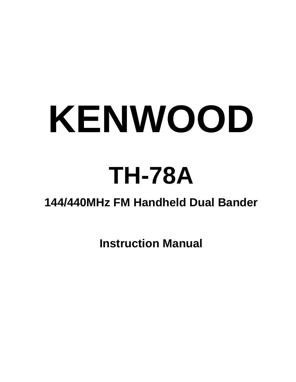# **KENWOOD**

## **TH-78A**

## **144/440MHz FM Handheld Dual Bander**

**Instruction Manual**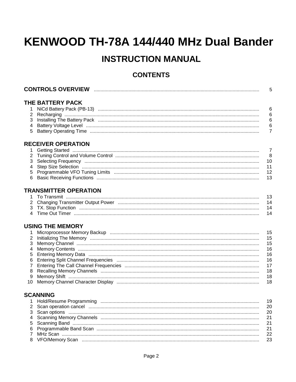## KENWOOD TH-78A 144/440 MHz Dual Bander

### **INSTRUCTION MANUAL**

#### **CONTENTS**

| 5                          |                                                                                                                                                                       |  |
|----------------------------|-----------------------------------------------------------------------------------------------------------------------------------------------------------------------|--|
| 2<br>3<br>5                | THE BATTERY PACK<br>6<br>6<br>6<br>6<br>$\overline{7}$                                                                                                                |  |
|                            | <b>RECEIVER OPERATION</b>                                                                                                                                             |  |
| 1<br>2<br>3<br>4<br>5<br>6 | $\overline{7}$<br>Getting Started <b>www.communicallycensus</b> contract to contract the contract of the contract of the contract of the<br>8<br>10<br>11<br>12<br>13 |  |
|                            | <b>TRANSMITTER OPERATION</b>                                                                                                                                          |  |
|                            | 13                                                                                                                                                                    |  |
| 2                          | 14                                                                                                                                                                    |  |
| 3                          | 14<br>14                                                                                                                                                              |  |
|                            | <b>USING THE MEMORY</b>                                                                                                                                               |  |
|                            | 15                                                                                                                                                                    |  |
| 2                          | 15                                                                                                                                                                    |  |
| 3                          | 15                                                                                                                                                                    |  |
| 4                          | 16                                                                                                                                                                    |  |
| 5<br>6                     | 16<br>16                                                                                                                                                              |  |
| $\overline{7}$             | 17                                                                                                                                                                    |  |
| 8                          | 18                                                                                                                                                                    |  |
| 9                          | 18                                                                                                                                                                    |  |
| 10                         | 18                                                                                                                                                                    |  |

#### **SCANNING**

|  | 19 |
|--|----|
|  |    |
|  |    |
|  |    |
|  |    |
|  |    |
|  |    |
|  |    |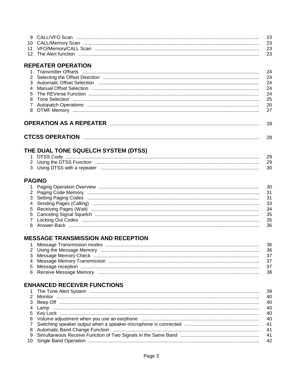|  | - 23 |
|--|------|
|  |      |
|  |      |

#### **REPEATER OPERATION**

| <b>CTCSS OPERATION</b> | 28 |
|------------------------|----|
|------------------------|----|

#### THE DUAL TONE SQUELCH SYSTEM (DTSS)

| 1 DTSS Code |    |
|-------------|----|
|             |    |
|             | 30 |

#### **PAGING**

#### **MESSAGE TRANSMISSION AND RECEPTION**

|  | - 36 |
|--|------|
|  |      |
|  |      |
|  |      |
|  |      |

#### **ENHANCED RECEIVER FUNCTIONS**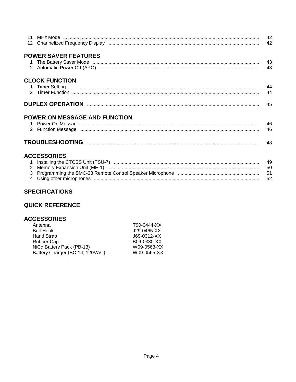|             |                               | 42       |
|-------------|-------------------------------|----------|
|             | <b>POWER SAVER FEATURES</b>   |          |
|             |                               | 43<br>43 |
|             | <b>CLOCK FUNCTION</b>         |          |
|             |                               | 44<br>44 |
|             |                               |          |
|             | POWER ON MESSAGE AND FUNCTION |          |
|             |                               | 46       |
|             |                               | 46       |
|             |                               |          |
|             | <b>ACCESSORIES</b>            |          |
| $\mathbf 1$ |                               |          |
|             |                               | - 50     |
|             |                               |          |

52

#### **SPECIFICATIONS**

#### **QUICK REFERENCE**

#### **ACCESSORIES**

| Antenna                         | T90-0444-XX   |
|---------------------------------|---------------|
| <b>Belt Hook</b>                | $J29-0465-XX$ |
| Hand Strap                      | J69-0312-XX   |
| Rubber Cap                      | B09-0330-XX   |
| NiCd Battery Pack (PB-13)       | W09-0563-XX   |
| Battery Charger (BC-14, 120VAC) | W09-0565-XX   |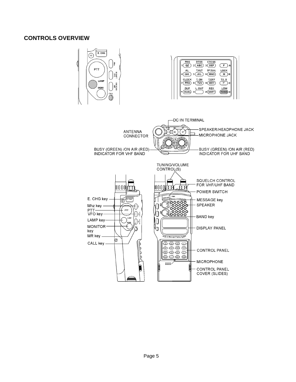#### **CONTROLS OVERVIEW**

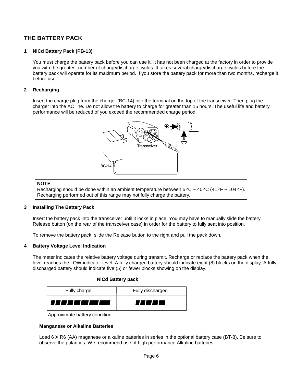#### **THE BATTERY PACK**

#### **1 NiCd Battery Pack (PB-13)**

You must charge the battery pack before you can use it. It has not been charged at the factory in order to provide you with the greatest number of charge/discharge cycles. It takes several charge/discharge cycles before the battery pack will operate for its maximum period. If you store the battery pack for more than two months, recharge it before use.

#### **2 Recharging**

Insert the charge plug from the charger (BC-14) into the terminal on the top of the transceiver. Then plug the charger into the AC line. Do not allow the battery to charge for greater than 15 hours. The useful life and battery performance will be reduced of you exceed the recommended charge period.



#### **NOTE**

Recharging should be done within an ambient temperature between  $5^{\circ}$ C ~ 40°C (41°F ~ 104°F). Recharging performed out of this range may not fully charge the battery.

#### **3 Installing The Battery Pack**

Insert the battery pack into the transceiver until it locks in place. You may have to manually slide the battery Release button (on the rear of the transceiver case) in order for the battery to fully seat into position.

To remove the battery pack, slide the Release button to the right and pull the pack down.

#### **4 Battery Voltage Level Indication**

The meter indicates the relative battery voltage during transmit. Recharge or replace the battery pack when the level reaches the LOW indicator level. A fully charged battery should indicate eight (8) blocks on the display. A fully discharged battery should indicate five (5) or fewer blocks showing on the display.

#### **NiCd Battery pack**

| Fully charge | Fully discharged |
|--------------|------------------|
|              | 77 L L L L       |

Approximate battery condition

#### **Manganese or Alkaline Batteries**

Load 6 X R6 (AA) maganese or alkaline batteries in series in the optional battery case (BT-8). Be sure to observe the polarities. We recommend use of high performance Alkaline batteries.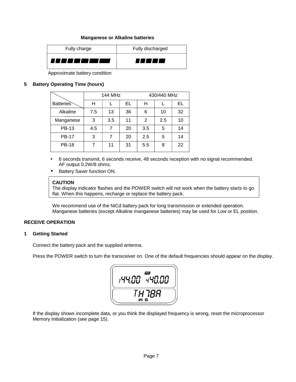#### **Manganese or Alkaline batteries**

| Fully charge | Fully discharged |
|--------------|------------------|
| ,,,,,,,,     |                  |

Approximate battery condition

#### **5 Battery Operating Time (hours)**

|                  |     | 144 MHz |    | 430/440 MHz |     |    |  |
|------------------|-----|---------|----|-------------|-----|----|--|
| <b>Batteries</b> | н   |         | EL | н           |     | EL |  |
| Alkaline         | 7.5 | 13      | 36 | 6           | 10  | 32 |  |
| Manganese        | 3   | 3.5     | 11 | 2           | 2.5 | 10 |  |
| <b>PB-13</b>     | 4.5 | 7       | 20 | 3.5         | 5   | 14 |  |
| <b>PB-17</b>     | 3   | 7       | 20 | 2.5         | 5   | 14 |  |
| <b>PB-18</b>     |     | 11      | 31 | 5.5         | 8   | 22 |  |

- 6 seconds transmit, 6 seconds receive, 48 seconds reception with no signal recommended. AF output 0.2W/8 ohms.
- Battery Saver function ON.

#### **CAUTION**

The display indicator flashes and the POWER switch will not work when the battery starts to go flat. When this happens, recharge or replace the battery pack.

We recommend use of the NiCd battery pack for long transmission or extended operation. Manganese batteries (except Alkaline manganese batteries) may be used for Low or EL position.

#### **RECEIVE OPERATION**

#### **1 Getting Started**

Connect the battery pack and the supplied antenna.

Press the POWER switch to turn the transceiver on. One of the default frequencies should appear on the display.



If the display shows incomplete data, or you think the displayed frequency is wrong, reset the microprocessor Memory Initialization (see page 15).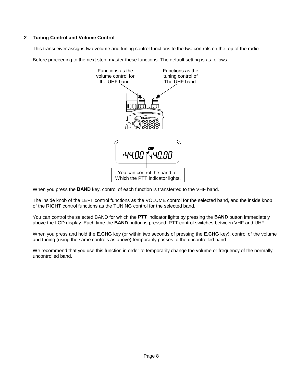#### **2 Tuning Control and Volume Control**

This transceiver assigns two volume and tuning control functions to the two controls on the top of the radio.

Before proceeding to the next step, master these functions. The default setting is as follows:



When you press the **BAND** key, control of each function is transferred to the VHF band.

The inside knob of the LEFT control functions as the VOLUME control for the selected band, and the inside knob of the RIGHT control functions as the TUNING control for the selected band.

You can control the selected BAND for which the **PTT** indicator lights by pressing the **BAND** button immediately above the LCD display. Each time the **BAND** button is pressed, PTT control switches between VHF and UHF.

When you press and hold the **E.CHG** key (or within two seconds of pressing the **E.CHG** key), control of the volume and tuning (using the same controls as above) temporarily passes to the uncontrolled band.

We recommend that you use this function in order to temporarily change the volume or frequency of the normally uncontrolled band.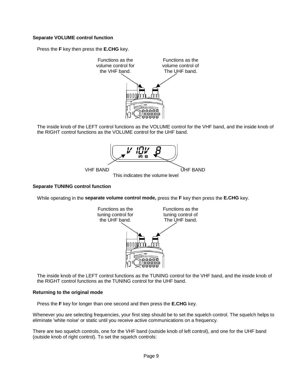#### **Separate VOLUME control function**

Press the **F** key then press the **E.CHG** key.



The inside knob of the LEFT control functions as the VOLUME control for the VHF band, and the inside knob of the RIGHT control functions as the VOLUME control for the UHF band.



#### **Separate TUNING control function**

While operating in the **separate volume control mode,** press the **F** key then press the **E.CHG** key.



The inside knob of the LEFT control functions as the TUNING control for the VHF band, and the inside knob of the RIGHT control functions as the TUNING control for the UHF band.

#### **Returning to the original mode**

Press the **F** key for longer than one second and then press the **E.CHG** key.

Whenever you are selecting frequencies, your first step should be to set the squelch control. The squelch helps to eliminate 'white noise' or static until you receive active communications on a frequency.

There are two squelch controls, one for the VHF band (outside knob of left control), and one for the UHF band (outside knob of right control). To set the squelch controls: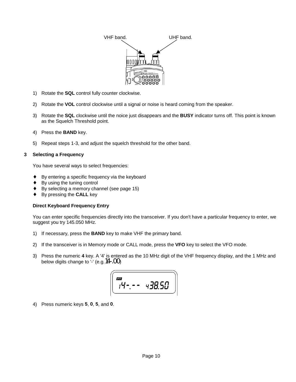

- 1) Rotate the **SQL** control fully counter clockwise.
- 2) Rotate the **VOL** control clockwise until a signal or noise is heard coming from the speaker.
- 3) Rotate the **SQL** clockwise until the noice just disappears and the **BUSY** indicator turns off. This point is known as the Squelch Threshold point.
- 4) Press the **BAND** key.
- 5) Repeat steps 1-3, and adjust the squelch threshold for the other band.

#### **3 Selecting a Frequency**

You have several ways to select frequencies:

- ♦ By entering a specific frequency via the keyboard
- By using the tuning control
- By selecting a memory channel (see page 15)
- ♦ By pressing the **CALL** key

#### **Direct Keyboard Frequency Entry**

You can enter specific frequencies directly into the transceiver. If you don't have a particular frequency to enter, we suggest you try 145.050 MHz.

- 1) If necessary, press the **BAND** key to make VHF the primary band.
- 2) If the transceiver is in Memory mode or CALL mode, press the **VFO** key to select the VFO mode.
- 3) Press the numeric **4** key. A '4' is entered as the 10 MHz digit of the VHF frequency display, and the 1 MHz and below digits change to '-' (e.g.14-.00)

$$
\boxed{\begin{array}{ccc}\n\overline{\phantom{0}} & & & \\
\overline{\phantom{0}} & & & \\
\overline{\phantom{0}} & & & \\
\overline{\phantom{0}} & & & \\
\overline{\phantom{0}} & & & \\
\overline{\phantom{0}} & & & \\
\overline{\phantom{0}} & & & \\
\overline{\phantom{0}} & & & \\
\overline{\phantom{0}} & & & \\
\overline{\phantom{0}} & & & \\
\overline{\phantom{0}} & & & \\
\overline{\phantom{0}} & & & \\
\overline{\phantom{0}} & & & \\
\overline{\phantom{0}} & & & \\
\overline{\phantom{0}} & & & \\
\overline{\phantom{0}} & & & \\
\overline{\phantom{0}} & & & \\
\overline{\phantom{0}} & & & \\
\overline{\phantom{0}} & & & \\
\overline{\phantom{0}} & & & \\
\overline{\phantom{0}} & & & \\
\overline{\phantom{0}} & & & \\
\overline{\phantom{0}} & & & \\
\overline{\phantom{0}} & & & \\
\overline{\phantom{0}} & & & \\
\overline{\phantom{0}} & & & \\
\overline{\phantom{0}} & & & \\
\overline{\phantom{0}} & & & \\
\overline{\phantom{0}} & & & \\
\overline{\phantom{0}} & & & \\
\overline{\phantom{0}} & & & \\
\overline{\phantom{0}} & & & \\
\overline{\phantom{0}} & & & \\
\overline{\phantom{0}} & & & \\
\overline{\phantom{0}} & & & \\
\overline{\phantom{0}} & & & \\
\overline{\phantom{0}} & & & \\
\overline{\phantom{0}} & & & \\
\overline{\phantom{0}} & & & \\
\overline{\phantom{0}} & & & \\
\overline{\phantom{0}} & & & \\
\overline{\phantom{0}} & & & \\
\overline{\phantom{0}} & & & \\
\overline{\phantom{0}} & & & \\
\overline{\phantom{0}} & & & \\
\overline{\phantom{0}} & & & \\
\overline{\phantom{0}} & & & \\
\overline{\phantom{0}} & & & \\
\overline{\phantom{0}} & & & \\
\overline{\phantom{0}} & & & \\
\overline{\phantom{0}} & & & \\
\overline{\phantom{0}} & & & \\
\overline{\phantom{0}} & & & \\
\overline{\phantom{0}} & & & \\
\overline{\phantom{0}} & & & \\
\overline{\phantom{0}} & & & \\
\overline{\phantom{0}} & & & \\
\overline{\phantom{0}}
$$

4) Press numeric keys **5**, **0**, **5**, and **0**.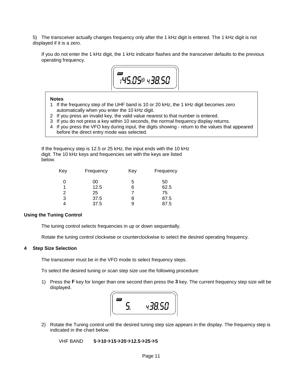5) The transceiver actually changes frequency only after the 1 kHz digit is entered. The 1 kHz digit is not displayed if it is a zero.

If you do not enter the 1 kHz digit, the 1 kHz indicator flashes and the transceiver defaults to the previous operating frequency.



#### **Notes**

- 1 If the frequency step of the UHF band is 10 or 20 kHz, the 1 kHz digit becomes zero automatically when you enter the 10 kHz digit.
- 2 If you press an invalid key, the valid value nearest to that number is entered.
- 3 If you do not press a key within 10 seconds, the normal frequency display returns.
- 4 If you press the VFO key during input, the digits showing return to the values that appeared before the direct entry mode was selected.

If the frequency step is 12.5 or 25 kHz, the input ends with the 10 kHz digit. The 10 kHz keys and frequencies set with the keys are listed below.

| Key | Frequency | Key | Frequency |
|-----|-----------|-----|-----------|
| 0   | 00        | 5   | 50        |
|     | 12.5      | 6   | 62.5      |
| 2   | 25        |     | 75        |
| 3   | 37.5      | 8   | 87.5      |
|     | 37.5      | 9   | 87.5      |

#### **Using the Tuning Control**

The tuning control selects frequencies in up or down sequentially.

Rotate the tuning control clockwise or counterclockwise to select the desired operating frequency.

#### **4 Step Size Selection**

The transceiver must be in the VFO mode to select frequency steps.

To select the desired tuning or scan step size use the following procedure:

1) Press the **F** key for longer than one second then press the **3** key. The current frequency step size will be displayed.



2) Rotate the Tuning control until the desired tuning step size appears in the display. The frequency step is indicated in the chart below.

**VHF BAND 5→10→15→20→12.5→25→5**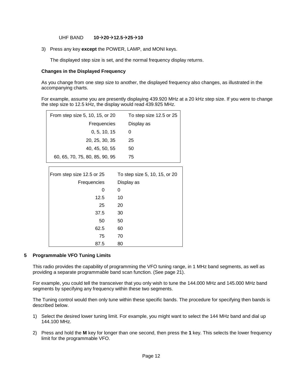UHF BAND **10→20→12.5→25→10** 

3) Press any key **except** the POWER, LAMP, and MONI keys.

The displayed step size is set, and the normal frequency display returns.

#### **Changes in the Displayed Frequency**

As you change from one step size to another, the displayed frequency also changes, as illustrated in the accompanying charts.

For example, assume you are presently displaying 439.920 MHz at a 20 kHz step size. If you were to change the step size to 12.5 kHz, the display would read 439.925 MHz.

| From step size 5, 10, 15, or 20 | To step size 12.5 or 25       |
|---------------------------------|-------------------------------|
| Frequencies                     | Display as                    |
| 0, 5, 10, 15                    | 0                             |
| 20, 25, 30, 35                  | 25                            |
| 40, 45, 50, 55                  | 50                            |
| 60, 65, 70, 75, 80, 85, 90, 95  | 75                            |
|                                 |                               |
| From step size 12.5 or 25       | To step size 5, 10, 15, or 20 |
| Frequencies                     | Display as                    |
| 0                               | 0                             |
| 12.5                            | 10                            |
| 25                              | 20                            |
| 37.5                            | 30                            |
| 50                              | 50                            |
| 62.5                            | 60                            |
| 75                              | 70                            |
| 87.5                            | 80                            |

#### **5 Programmable VFO Tuning Limits**

This radio provides the capability of programming the VFO tuning range, in 1 MHz band segments, as well as providing a separate programmable band scan function. (See page 21).

For example, you could tell the transceiver that you only wish to tune the 144.000 MHz and 145.000 MHz band segments by specifying any frequency within these two segments.

The Tuning control would then only tune within these specific bands. The procedure for specifying then bands is described below.

- 1) Select the desired lower tuning limit. For example, you might want to select the 144 MHz band and dial up 144.100 MHz.
- 2) Press and hold the **M** key for longer than one second, then press the **1** key. This selects the lower frequency limit for the programmable VFO.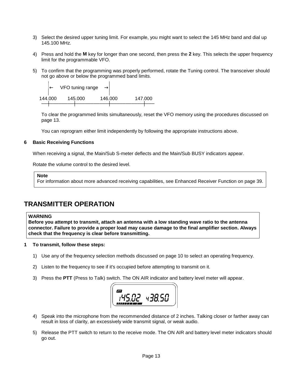- 3) Select the desired upper tuning limit. For example, you might want to select the 145 MHz band and dial up 145.100 MHz.
- 4) Press and hold the **M** key for longer than one second, then press the **2** key. This selects the upper frequency limit for the programmable VFO.
- 5) To confirm that the programming was properly performed, rotate the Tuning control. The transceiver should not go above or below the programmed band limits.



To clear the programmed limits simultaneously, reset the VFO memory using the procedures discussed on page 13.

You can reprogram either limit independently by following the appropriate instructions above.

#### **6 Basic Receiving Functions**

When receiving a signal, the Main/Sub S-meter deflects and the Main/Sub BUSY indicators appear.

Rotate the volume control to the desired level.

**Note**

For information about more advanced receiving capabilities, see Enhanced Receiver Function on page 39.

#### **TRANSMITTER OPERATION**

#### **WARNING**

**Before you attempt to transmit, attach an antenna with a low standing wave ratio to the antenna connector. Failure to provide a proper load may cause damage to the final amplifier section. Always check that the frequency is clear before transmitting.**

#### **1 To transmit, follow these steps:**

- 1) Use any of the frequency selection methods discussed on page 10 to select an operating frequency.
- 2) Listen to the frequency to see if it's occupied before attempting to transmit on it.
- 3) Press the **PTT** (Press to Talk) switch. The ON AIR indicator and battery level meter will appear.



- 4) Speak into the microphone from the recommended distance of 2 inches. Talking closer or farther away can result in loss of clarity, an excessively wide transmit signal, or weak audio.
- 5) Release the PTT switch to return to the receive mode. The ON AIR and battery level meter indicators should go out.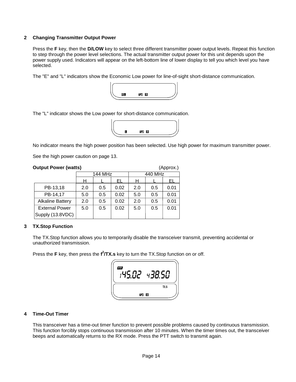#### **2 Changing Transmitter Output Power**

Press the **F** key, then the **D/LOW** key to select three different transmitter power output levels. Repeat this function to step through the power level selections. The actual transmitter output power for this unit depends upon the power supply used. Indicators will appear on the left-bottom line of lower display to tell you which level you have selected.

The "E" and "L" indicators show the Economic Low power for line-of-sight short-distance communication.



The "L" indicator shows the Low power for short-distance communication.



No indicator means the high power position has been selected. Use high power for maximum transmitter power.

See the high power caution on page 13.

#### **Output Power (watts)** (Approx.)

|                         |     | 144 MHz |      |     | 440 MHz |      |
|-------------------------|-----|---------|------|-----|---------|------|
|                         | н   |         | EL   | н   |         | EL   |
| PB-13,18                | 2.0 | 0.5     | 0.02 | 2.0 | 0.5     | 0.01 |
| PB-14,17                | 5.0 | 0.5     | 0.02 | 5.0 | 0.5     | 0.01 |
| <b>Alkaline Battery</b> | 2.0 | 0.5     | 0.02 | 2.0 | 0.5     | 0.01 |
| <b>External Power</b>   | 5.0 | 0.5     | 0.02 | 5.0 | 0.5     | 0.01 |
| Supply (13.8VDC)        |     |         |      |     |         |      |

#### **3 TX.Stop Function**

The TX.Stop function allows you to temporarily disable the transceiver transmit, preventing accidental or unauthorized transmission.

Press the F key, then press the f<sup>2</sup>/TX.s key to turn the TX.Stop function on or off.

| œ<br>$\mathcal{C}$ | 511<br>$\mathbf{q}$ - |  |
|--------------------|-----------------------|--|
|                    | TX.S                  |  |
|                    | APO ES                |  |

#### **4 Time-Out Timer**

This transceiver has a time-out timer function to prevent possible problems caused by continuous transmission. This function forcibly stops continuous transmission after 10 minutes. When the timer times out, the transceiver beeps and automatically returns to the RX mode. Press the PTT switch to transmit again.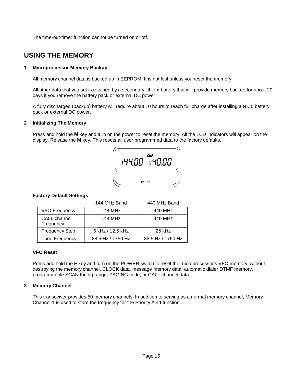The time-out-timer function cannot be turned on or off.

#### **USING THE MEMORY**

#### **1 Microprocessor Memory Backup**

All memory channel data is backed up in EEPROM. It is not lost unless you reset the memory.

All other data that you set is retained by a secondary lithium battery that will provide memory backup for about 20 days if you remove the battery pack or external DC power.

A fully discharged (backup) battery will require about 10 hours to reach full charge after installing a NiCd battery pack or external DC power.

#### **2 Initializing The Memory**

Press and hold the **M** key and turn on the power to reset the memory. All the LCD indicators will appear on the display. Release the **M** key. This resets all user programmed data to the factory defaults.



#### **Factory Default Settings**

|                           | 144 MHz Band        | 440 MHz Band      |
|---------------------------|---------------------|-------------------|
| <b>VFO Frequency</b>      | 144 MH <sub>7</sub> | 440 MHz           |
| CALL channel<br>Frequency | 144 MH <sub>7</sub> | 440 MHz           |
| <b>Frequency Step</b>     | 5 kHz / 12.5 kHz    | 25 kHz            |
| Tone Frequency            | 88.5 Hz / 1750 Hz   | 88.5 Hz / 1750 Hz |

#### **VFO Reset**

Press and hold the **F** key and turn on the POWER switch to reset the microprocessor's VFO memory, without destroying the memory channel, CLOCK data, message memory data, automatic dialer DTMF memory, programmable SCAN tuning range, PAGING code, or CALL channel data.

#### **3 Memory Channel**

This transceiver provides 50 memory channels. In addition to serving as a normal memory channel, Memory Channel 1 is used to store the frequency for the Priority Alert function.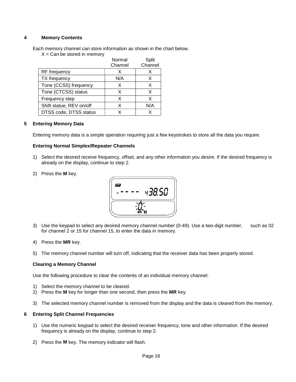#### **4 Memory Contents**

Each memory channel can store information as shown in the chart below.

 $X = Can be stored in memory$ 

|                          | Normal  | Split   |
|--------------------------|---------|---------|
|                          | Channel | Channel |
| RF frequency             |         | х       |
| TX frequency             | N/A     | X.      |
| Tone (CCSS) frequency    | x       | x       |
| Tone (CTCSS) status      | х       | X       |
| Frequency step           | х       | x       |
| Shift statue, REV on/off | x       | N/A     |
| DTSS code, DTSS status   |         |         |

#### **5 Entering Memory Data**

Entering memory data is a simple operation requiring just a few keystrokes to store all the data you require.

#### **Entering Normal Simplex/Repeater Channels**

- 1) Select the desired receive frequency, offset, and any other information you desire. If the desired frequency is already on the display, continue to step 2.
- 2) Press the **M** key.



- 3) Use the keypad to select any desired memory channel number (0-49). Use a two-digit number, such as 02 for channel 2 or 15 for channel 15, to enter the data in memory.
- 4) Press the **MR** key.
- 5) The memory channel number will turn off, indicating that the receiver data has been properly stored.

#### **Clearing a Memory Channel**

Use the following procedure to clear the contents of an individual memory channel:

- 1) Select the memory channel to be cleared.
- 2) Press the **M** key for longer than one second, then press the **MR** key.
- 3) The selected memory channel number is removed from the display and the data is cleared from the memory.

#### **6 Entering Split Channel Frequencies**

- 1) Use the numeric keypad to select the desired receiver frequency, tone and other information. If the desired frequency is already on the display, continue to step 2.
- 2) Press the **M** key. The memory indicator will flash.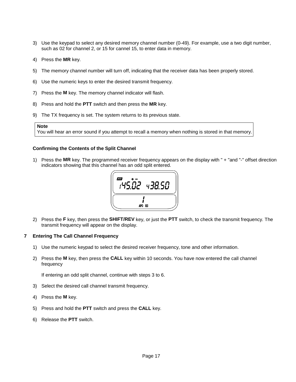- 3) Use the keypad to select any desired memory channel number (0-49). For example, use a two digit number, such as 02 for channel 2, or 15 for cannel 15, to enter data in memory.
- 4) Press the **MR** key.
- 5) The memory channel number will turn off, indicating that the receiver data has been properly stored.
- 6) Use the numeric keys to enter the desired transmit frequency.
- 7) Press the **M** key. The memory channel indicator will flash.
- 8) Press and hold the **PTT** switch and then press the **MR** key.
- 9) The TX frequency is set. The system returns to its previous state.

#### **Note**

You will hear an error sound if you attempt to recall a memory when nothing is stored in that memory.

#### **Confirming the Contents of the Split ChanneI**

1) Press the **MR** key. The programmed receiver frequency appears on the display with " + "and "-" offset direction indicators showing that this channel has an odd split entered.



2) Press the **F** key, then press the **SHIFT/REV** key, or just the **PTT** switch, to check the transmit frequency. The transmit frequency will appear on the display.

#### **7 Entering The Call Channel Frequency**

- 1) Use the numeric keypad to select the desired receiver frequency, tone and other information.
- 2) Press the **M** key, then press the **CALL** key within 10 seconds. You have now entered the call channel frequency

If entering an odd split channel, continue with steps 3 to 6.

- 3) Select the desired call channel transmit frequency.
- 4) Press the **M** key.
- 5) Press and hold the **PTT** switch and press the **CALL** key.
- 6) Release the **PTT** switch.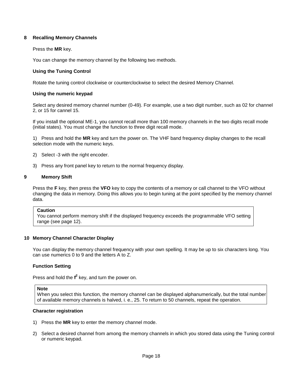#### **8 Recalling Memory Channels**

#### Press the **MR** key.

You can change the memory channel by the following two methods.

#### **Using the Tuning Control**

Rotate the tuning control clockwise or counterclockwise to select the desired Memory Channel.

#### **Using the numeric keypad**

Select any desired memory channel number (0-49). For example, use a two digit number, such as 02 for channel 2, or 15 for cannel 15.

If you install the optional ME-1, you cannot recall more than 100 memory channels in the two digits recall mode (initial states). You must change the function to three digit recall mode.

1) Press and hold the **MR** key and turn the power on. The VHF band frequency display changes to the recall selection mode with the numeric keys.

- 2) Select -3 with the right encoder.
- 3) Press any front panel key to return to the normal frequency display.

#### **9 Memory Shift**

Press the **F** key, then press the **VFO** key to copy the contents of a memory or call channel to the VFO without changing the data in memory. Doing this allows you to begin tuning at the point specified by the memory channel data.

#### **Caution**

You cannot perform memory shift if the displayed frequency exceeds the programmable VFO setting range (see page 12).

#### **10 Memory Channel Character Display**

You can display the memory channel frequency with your own spelling. It may be up to six characters long. You can use numerics 0 to 9 and the letters A to Z.

#### **Function Setting**

Press and hold the f<sup>2</sup> key, and turn the power on.

#### **Note**

When you select this function, the memory channel can be displayed alphanumerically, but the total number of available memory channels is halved, i. e., 25. To return to 50 channels, repeat the operation.

#### **Character registration**

- 1) Press the **MR** key to enter the memory channel mode.
- 2) Select a desired channel from among the memory channels in which you stored data using the Tuning control or numeric keypad.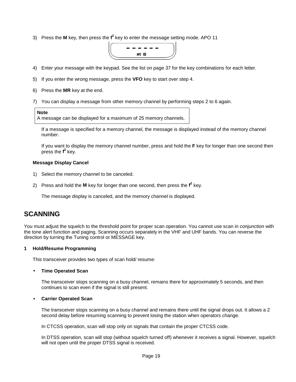3) Press the M key, then press the f<sup>2</sup> key to enter the message setting mode. APO 11



- 4) Enter your message with the keypad. See the list on page 37 for the key combinations for each letter.
- 5) If you enter the wrong message, press the **VFO** key to start over step 4.
- 6) Press the **MR** key at the end.
- 7) You can display a message from other memory channel by performing steps 2 to 6 again.

#### **Note**

A message can be displayed for a maximum of 25 memory channels.

If a message is specified for a memory channel, the message is displayed instead of the memory channel number.

If you want to display the memory channel number, press and hold the **F** key for longer than one second then press the f<sup>2</sup> key.

#### **Message Display Cancel**

- 1) Select the memory channel to be canceled.
- 2) Press and hold the M key for longer than one second, then press the f<sup>2</sup> key.

The message display is canceled, and the memory channel is displayed.

#### **SCANNING**

You must adjust the squelch to the threshold point for proper scan operation. You cannot use scan in conjunction with the tone alert function and paging. Scanning occurs separately in the VHF and UHF bands. You can reverse the direction by turning the Tuning control or MESSAGE key.

#### **1 Hold/Resume Programming**

This transceiver provides two types of scan hold/ resume:

#### • **Time Operated Scan**

The transceiver stops scanning on a busy channel, remains there for approximately 5 seconds, and then continues to scan even if the signal is still present.

#### • **Carrier Operated Scan**

The transceiver stops scanning on a busy channel and remains there until the signal drops out. It allows a 2 second delay before resuming scanning to prevent losing the station when operators change.

In CTCSS operation, scan will stop only on signals that contain the proper CTCSS code.

In DTSS operation, scan will stop (without squelch turned off) whenever it receives a signal. However, squelch will not open until the proper DTSS signal is received.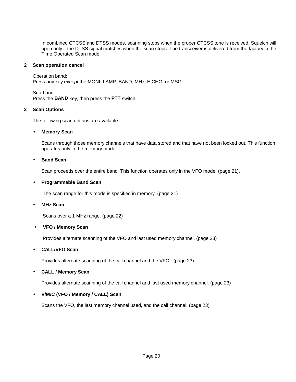In combined CTCSS and DTSS modes, scanning stops when the proper CTCSS tone is received. Squelch will open only if the DTSS signal matches when the scan stops. The transceiver is delivered from the factory in the Time Operated Scan mode.

#### **2 Scan operation cancel**

Operation band: Press any key *except* the MONI, LAMP, BAND, MHz, E.CHG, or MSG.

Sub-band: Press the **BAND** key, then press the **PTT** switch.

#### **3 Scan Options**

The following scan options are available:

#### • **Memory Scan**

Scans through those memory channels that have data stored and that have not been locked out. This function operates only in the memory mode.

#### • **Band Scan**

Scan proceeds over the entire band. This function operates only in the VFO mode. (page 21).

#### • **Programmable Band Scan**

The scan range for this mode is specified in memory. (page 21)

#### • **MHz Scan**

Scans over a 1 MHz range. (page 22)

#### • **VFO / Memory Scan**

Provides alternate scanning of the VFO and last used memory channel. (page 23)

#### • **CALL/VFO Scan**

Provides alternate scanning of the call channel and the VFO. (page 23)

#### • **CALL / Memory Scan**

Provides alternate scanning of the call channel and last used memory channel. (page 23)

#### • **V/M/C (VFO / Memory / CALL) Scan**

Scans the VFO, the last memory channel used, and the call channel. (page 23)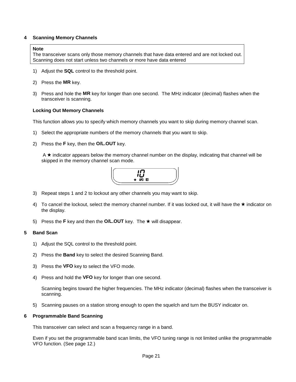#### **4 Scanning Memory Channels**

#### **Note**

The transceiver scans only those memory channels that have data entered and are not locked out. Scanning does not start unless two channels or more have data entered

- 1) Adjust the **SQL** control to the threshold point.
- 2) Press the **MR** key.
- 3) Press and hole the **MR** key for longer than one second. The MHz indicator (decimal) flashes when the transceiver is scanning.

#### **Locking Out Memory Channels**

This function allows you to specify which memory channels you want to skip during memory channel scan.

- 1) Select the appropriate numbers of the memory channels that you want to skip.
- 2) Press the **F** key, then the **O/L.OUT** key.

 $A \star$  indicator appears below the memory channel number on the display, indicating that channel will be skipped in the memory channel scan mode.



- 3) Repeat steps 1 and 2 to lockout any other channels you may want to skip.
- 4) To cancel the lockout, select the memory channel number. If it was locked out, it will have the  $\star$  indicator on the display.
- 5) Press the **F** key and then the **O/L.OUT** key. The  $\star$  will disappear.

#### **5 Band Scan**

- 1) Adjust the SQL control to the threshold point.
- 2) Press the **Band** key to select the desired Scanning Band.
- 3) Press the **VFO** key to select the VFO mode.
- 4) Press and hold the **VFO** key for longer than one second.

Scanning begins toward the higher frequencies. The MHz indicator (decimal) flashes when the transceiver is scanning.

5) Scanning pauses on a station strong enough to open the squelch and turn the BUSY indicator on.

#### **6 Programmable Band Scanning**

This transceiver can select and scan a frequency range in a band.

Even if you set the programmable band scan limits, the VFO tuning range is not limited unlike the programmable VFO function. (See page 12.)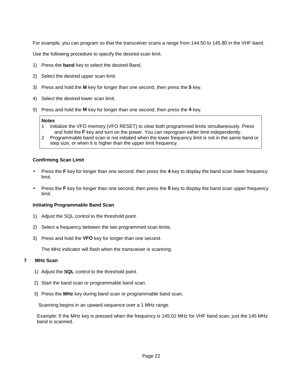For example, you can program so that the transceiver scans a range from 144.50 to 145.80 in the VHF band.

Use the following procedure to specify the desired scan limit.

- 1) Press the **band** key to select the desired Band.
- 2) Select the desired upper scan limit.
- 3) Press and hold the **M** key for longer than one second, then press the **5** key.
- 4) Select the desired lower scan limit.
- 5) Press and hold the **M** key for longer than one second, then press the **4** key.

#### **Notes**

- 1 Initialize the VFO memory (VFO RESET) to clear both programmed limits simultaneously. Press and hold the **F** key and turn on the power. You can reprogram either limit independently.
- 2 Programmable band scan is not initiated when the lower frequency limit is not in the same band or step size, or when it is higher than the upper limit frequency.

#### **Confirming Scan Limit**

- Press the **F** key for longer than one second, then press the **4** key to display the band scan lower frequency limit.
- Press the **F** key for longer than one second, then press the **5** key to display the band scan upper frequency limit.

#### **Initiating Programmable Band Scan**

- 1) Adjust the SQL control to the threshold point.
- 2) Select a frequency between the two programmed scan limits.
- 3) Press and hold the **VFO** key for longer than one second.

The MHz indicator will flash when the transceiver is scanning.

#### **7 MHz Scan**

- 1) Adjust the **SQL** control to the threshold point.
- 2) Start the band scan or programmable band scan.
- 3) Press the **MHz** key during band scan or programmable band scan.

Scanning begins in an upward sequence over a 1 MHz range.

Example: If the MHz key is pressed when the frequency is 145.02 MHz for VHF band scan, just the 145 MHz band is scanned.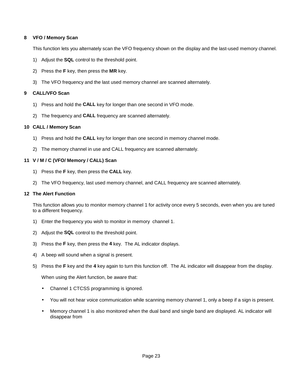#### **8 VFO / Memory Scan**

This function lets you alternately scan the VFO frequency shown on the display and the last-used memory channel.

- 1) Adjust the **SQL** control to the threshold point.
- 2) Press the **F** key, then press the **MR** key.
- 3) The VFO frequency and the last used memory channel are scanned alternately.

#### **9 CALL/VFO Scan**

- 1) Press and hold the **CALL** key for longer than one second in VFO mode.
- 2) The frequency and **CALL** frequency are scanned alternately.

#### **10 CALL / Memory Scan**

- 1) Press and hold the **CALL** key for longer than one second in memory channel mode.
- 2) The memory channel in use and CALL frequency are scanned alternately.

#### **11 V / M / C (VFO/ Memory / CALL) Scan**

- 1) Press the **F** key, then press the **CALL** key.
- 2) The VFO frequency, last used memory channel, and CALL frequency are scanned alternately.

#### **12 The Alert Function**

This function allows you to monitor memory channel 1 for activity once every 5 seconds, even when you are tuned to a different frequency.

- 1) Enter the frequency you wish to monitor in memory channel 1.
- 2) Adjust the **SQL** control to the threshold point.
- 3) Press the **F** key, then press the **4** key. The AL indicator displays.
- 4) A beep will sound when a signal is present.
- 5) Press the **F** key and the **4** key again to turn this function off. The AL indicator will disappear from the display.

When using the Alert function, be aware that:

- Channel 1 CTCSS programming is ignored.
- You will not hear voice communication while scanning memory channel 1, only a beep if a sign is present.
- Memory channel 1 is also monitored when the dual band and single band are displayed. AL indicator will disappear from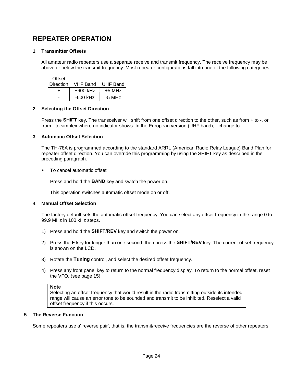#### **REPEATER OPERATION**

#### **1 Transmitter Offsets**

All amateur radio repeaters use a separate receive and transmit frequency. The receive frequency may be above or below the transmit frequency. Most repeater configurations fall into one of the following categories.

**Offset** 

| Direction | VHF Band   | UHF Band |
|-----------|------------|----------|
|           | +600 kHz   | +5 MHz   |
| -         | $-600$ kHz | $-5$ MHz |

#### **2 Selecting the Offset Direction**

Press the **SHIFT** key. The transceiver will shift from one offset direction to the other, such as from + to -, or from - to simplex where no indicator shows. In the European version (UHF band), - change to - -.

#### **3 Automatic Offset Selection**

The TH-78A is programmed according to the standard ARRL (American Radio Relay League) Band Plan for repeater offset direction. You can override this programming by using the SHIFT key as described in the preceding paragraph.

• To cancel automatic offset

Press and hold the **BAND** key and switch the power on.

This operation switches automatic offset mode on or off.

#### **4 Manual Offset Selection**

The factory default sets the automatic offset frequency. You can select any offset frequency in the range 0 to 99.9 MHz in 100 kHz steps.

- 1) Press and hold the **SHIFT/REV** key and switch the power on.
- 2) Press the **F** key for longer than one second, then press the **SHIFT/REV** key. The current offset frequency is shown on the LCD.
- 3) Rotate the **Tuning** control, and select the desired offset frequency.
- 4) Press any front panel key to return to the normal frequency display. To return to the normal offset, reset the VFO. (see page 15)

#### **Note**

Selecting an offset frequency that would result in the radio transmitting outside its intended range will cause an error tone to be sounded and transmit to be inhibited. Reselect a valid offset frequency if this occurs.

#### **5 The Reverse Function**

Some repeaters use a' reverse pair', that is, the transmit/receive frequencies are the reverse of other repeaters.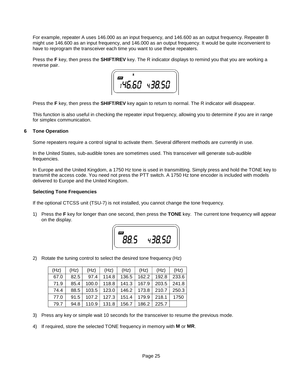For example, repeater A uses 146.000 as an input frequency, and 146.600 as an output frequency. Repeater B might use 146.600 as an input frequency, and 146.000 as an output frequency. It would be quite inconvenient to have to reprogram the transceiver each time you want to use these repeaters.

Press the **F** key, then press the **SHIFT/REV** key. The R indicator displays to remind you that you are working a reverse pair.



Press the **F** key, then press the **SHIFT/REV** key again to return to normal. The R indicator will disappear.

This function is also useful in checking the repeater input frequency, allowing you to determine if you are in range for simplex communication.

#### **6 Tone Operation**

Some repeaters require a control signal to activate them. Several different methods are currently in use.

In the United States, sub-audible tones are sometimes used. This transceiver will generate sub-audible frequencies.

In Europe and the United Kingdom, a 1750 Hz tone is used in transmitting. Simply press and hold the TONE key to transmit the access code. You need not press the PTT switch. A 1750 Hz tone encoder is included with models delivered to Europe and the United Kingdom.

#### **Selecting Tone Frequencies**

If the optional CTCSS unit (TSU-7) is not installed, you cannot change the tone frequency.

1) Press the **F** key for longer than one second, then press the **TONE** key. The current tone frequency will appear on the display.



2) Rotate the tuning control to select the desired tone frequency (Hz)

| (Hz) | (Hz) | (Hz)    | (Hz)           | (Hz)                                    | (Hz)    | (Hz)  | (Hz)  |
|------|------|---------|----------------|-----------------------------------------|---------|-------|-------|
| 67.0 | 82.5 |         | $97.4$   114.8 | 136.5                                   | 162.2 l | 192.8 | 233.6 |
| 71.9 | 85.4 | $100.0$ |                | 118.8   141.3   167.9   203.5   241.8   |         |       |       |
| 74.4 | 88.5 |         |                | $103.5$   123.0   146.2   173.8   210.7 |         |       | 250.3 |
| 77.0 | 91.5 |         |                | 107.2   127.3   151.4   179.9   218.1   |         |       | 1750  |
| 79.7 | 94.8 | 110.9   | 131.8          | 156.7 l                                 | 186.2   | 225.7 |       |

- 3) Press any key or simple wait 10 seconds for the transceiver to resume the previous mode.
- 4) If required, store the selected TONE frequency in memory with **M** or **MR**.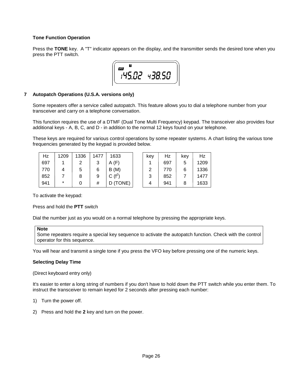#### **Tone Function Operation**

Press the **TONE** key. A "T" indicator appears on the display, and the transmitter sends the desired tone when you press the PTT switch.



#### **7 Autopatch Operations (U.S.A. versions only)**

Some repeaters offer a service called autopatch. This feature allows you to dial a telephone number from your transceiver and carry on a telephone conversation.

This function requires the use of a DTMF (Dual Tone Multi Frequency) keypad. The transceiver also provides four additional keys - A, B, C, and D - in addition to the normal 12 keys found on your telephone.

These keys are required for various control operations by some repeater systems. A chart listing the various tone frequencies generated by the keypad is provided below.

| Hz  | 1209   | 1336 | 1477   | 1633      | kev | Hz  | kev | Hz   |
|-----|--------|------|--------|-----------|-----|-----|-----|------|
| 697 |        |      | າ<br>J | (F)<br>A  |     | 697 |     | 1209 |
| 770 |        | 5    | 6      | B(M)      | ႒   | 770 |     | 1336 |
| 852 |        |      | 9      | C $(f^2)$ | 2   | 852 |     | 1477 |
| 941 | $\ast$ |      | #      | (TONE)    |     | 941 |     | 1633 |

| 3    | key | Hz  | key | Hz   |
|------|-----|-----|-----|------|
|      |     | 697 | 5   | 1209 |
|      | 2   | 770 | 6   | 1336 |
|      | 3   | 852 |     | 1477 |
| ONE) |     | 941 | 8   | 1633 |

To activate the keypad:

Press and hold the **PTT** switch

Dial the number just as you would on a normal telephone by pressing the appropriate keys.

```
Note
```
Some repeaters require a special key sequence to activate the autopatch function. Check with the control operator for this sequence.

You will hear and transmit a single tone if you press the VFO key before pressing one of the numeric keys.

#### **Selecting Delay Time**

(Direct keyboard entry only)

It's easier to enter a long string of numbers if you don't have to hold down the PTT switch while you enter them. To instruct the transceiver to remain keyed for 2 seconds after pressing each number:

- 1) Turn the power off.
- 2) Press and hold the **2** key and turn on the power.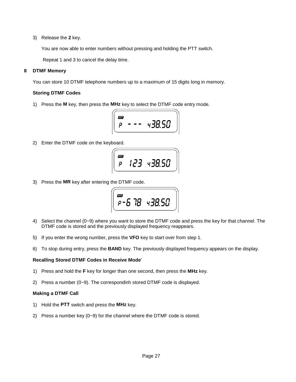3) Release the **2** key.

You are now able to enter numbers without pressing and holding the PTT switch.

Repeat 1 and 3 to cancel the delay time.

#### **8 DTMF Memory**

You can store 10 DTMF telephone numbers up to a maximum of 15 digits long in memory.

#### **Storing DTMF Codes**

1) Press the **M** key, then press the **MHz** key to select the DTMF code entry mode.

$$
\left(\begin{array}{ccc}\n\overline{\mathbf{m}} & - & - & 438.50\n\end{array}\right)
$$

2) Enter the DTMF code on the keyboard.

$$
\left(\begin{array}{ccc}\n\overline{CD} & 123 & 438.50\n\end{array}\right)
$$

3) Press the **MR** key after entering the DTMF code.

$$
\left(\begin{array}{c}\n\overline{\text{cm}} \\
P - 5 \quad 7B \quad 4 \quad 3B.50\n\end{array}\right)
$$

- 4) Select the channel (0~9) where you want to store the DTMF code and press the key for that channel. The DTMF code is stored and the previously displayed frequency reappears.
- 5) If you enter the wrong number, press the **VFO** key to start over from step 1.
- 6) To stop during entry, press the **BAND** key. The previously displayed frequency appears on the display.

#### **Recalling Stored DTMF Codes in Receive Mode**'

- 1) Press and hold the **F** key for longer than one second, then press the **MHz** key.
- 2) Press a number (0~9). The correspondinh stored DTMF code is displayed.

#### **Making a DTMF Call**

- 1) Hold the **PTT** switch and press the **MHz** key.
- 2) Press a number key (0~9) for the channel where the DTMF code is stored.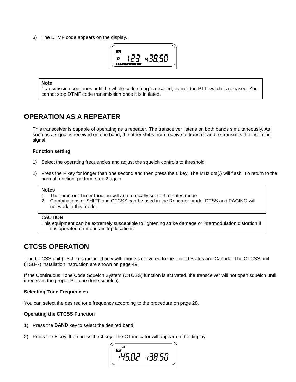3) The DTMF code appears on the display.



#### **Note**

Transmission continues until the whole code string is recalled, even if the PTT switch is released. You cannot stop DTMF code transmission once it is initiated.

#### **OPERATION AS A REPEATER**

This transceiver is capable of operating as a repeater. The transceiver listens on both bands simultaneously. As soon as a signal is received on one band, the other shifts from receive to transmit and re-transmits the incoming signal.

#### **Function setting**

- 1) Select the operating frequencies and adjust the squelch controls to threshold.
- 2) Press the F key for longer than one second and then press the 0 key. The MHz dot(.) will flash. To return to the normal function, perform step 2 again.

#### **Notes**

- 1 The Time-out Timer function will automatically set to 3 minutes mode.
- 2 Combinations of SHIFT and CTCSS can be used in the Repeater mode. DTSS and PAGING will not work in this mode.

#### **CAUTION**

This equipment can be extremely susceptible to lightening strike damage or intermodulation distortion if it is operated on mountain top locations.

#### **CTCSS OPERATION**

 The CTCSS unit (TSU-7) is included only with models delivered to the United States and Canada. The CTCSS unit (TSU-7) installation instruction are shown on page 49.

If the Continuous Tone Code Squelch System (CTCSS) function is activated, the transceiver will not open squelch until it receives the proper PL tone (tone squelch).

#### **Selecting Tone Frequencies**

You can select the desired tone frequency according to the procedure on page 28.

#### **Operating the CTCSS Function**

- 1) Press the **BAND** key to select the desired band.
- 2) Press the **F** key, then press the **3** key. The CT indicator will appear on the display.

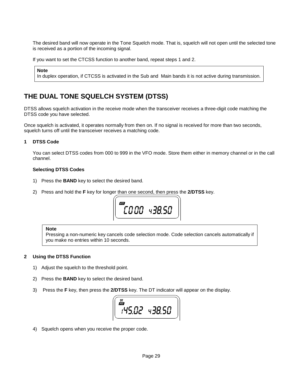The desired band will now operate in the Tone Squelch mode. That is, squelch will not open until the selected tone is received as a portion of the incoming signal.

If you want to set the CTCSS function to another band, repeat steps 1 and 2.

#### **Note**

In duplex operation, if CTCSS is activated in the Sub and Main bands it is not active during transmission.

#### **THE DUAL TONE SQUELCH SYSTEM (DTSS)**

DTSS allows squelch activation in the receive mode when the transceiver receives a three-digit code matching the DTSS code you have selected.

Once squelch is activated, it operates normally from then on. If no signal is received for more than two seconds, squelch turns off until the transceiver receives a matching code.

#### **1 DTSS Code**

You can select DTSS codes from 000 to 999 in the VFO mode. Store them either in memory channel or in the call channel.

#### **Selecting DTSS Codes**

- 1) Press the **BAND** key to select the desired band.
- 2) Press and hold the **F** key for longer than one second, then press the **2/DTSS** key.



#### **Note**

Pressing a non-numeric key cancels code selection mode. Code selection cancels automatically if you make no entries within 10 seconds.

#### **2 Using the DTSS Function**

- 1) Adjust the squelch to the threshold point.
- 2) Press the **BAND** key to select the desired band.
- 3) Press the **F** key, then press the **2/DTSS** key. The DT indicator will appear on the display.



4) Squelch opens when you receive the proper code.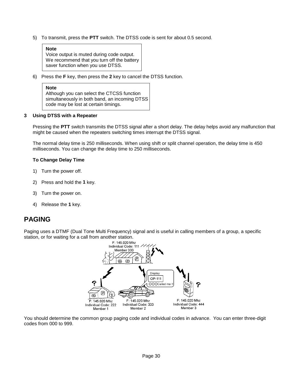5) To transmit, press the **PTT** switch. The DTSS code is sent for about 0.5 second.

| <b>Note</b>                                    |
|------------------------------------------------|
| Voice output is muted during code output.      |
| We recommend that you turn off the battery $ $ |
| saver function when you use DTSS.              |

6) Press the **F** key, then press the **2** key to cancel the DTSS function.

#### **Note**

Although you can select the CTCSS function simultaneously in both band, an incoming DTSS code may be lost at certain timings.

#### **3 Using DTSS with a Repeater**

Pressing the **PTT** switch transmits the DTSS signal after a short delay. The delay helps avoid any malfunction that might be caused when the repeaters switching times interrupt the DTSS signal.

The normal delay time is 250 milliseconds. When using shift or split channel operation, the delay time is 450 milliseconds. You can change the delay time to 250 milliseconds.

#### **To Change Delay Time**

- 1) Turn the power off.
- 2) Press and hold the **1** key.
- 3) Turn the power on.
- 4) Release the **1** key.

#### **PAGING**

Paging uses a DTMF (Dual Tone Multi Frequency) signal and is useful in calling members of a group, a specific station, or for waiting for a call from another station.



You should determine the common group paging code and individual codes in advance. You can enter three-digit codes from 000 to 999.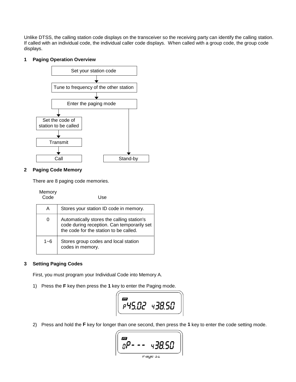Unlike DTSS, the calling station code displays on the transceiver so the receiving party can identify the calling station. If called with an individual code, the individual caller code displays. When called with a group code, the group code displays.

#### **1 Paging Operation Overview**



#### **2 Paging Code Memory**

There are 8 paging code memories.

| Memory<br>Code | Use                                                                                                                                |
|----------------|------------------------------------------------------------------------------------------------------------------------------------|
| А              | Stores your station ID code in memory.                                                                                             |
|                | Automatically stores the calling station's<br>code during reception. Can temporarily set<br>the code for the station to be called. |
| 1~6            | Stores group codes and local station<br>codes in memory.                                                                           |

#### **3 Setting Paging Codes**

First, you must program your Individual Code into Memory A.

1) Press the **F** key then press the **1** key to enter the Paging mode.

$$
\left(\begin{array}{cc} \mathbf{m} & \\ \mathbf{p} & \mathbf{q} & \mathbf{q} \\ \mathbf{p} & \mathbf{q} & \mathbf{q} \end{array}\right)
$$

2) Press and hold the **F** key for longer than one second, then press the **1** key to enter the code setting mode.

Page 31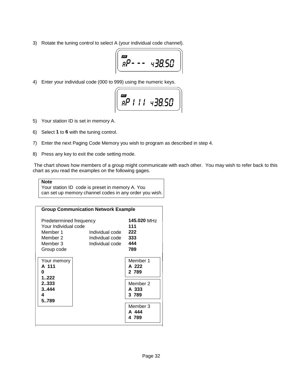3) Rotate the tuning control to select A (your individual code channel).

$$
\left(\begin{array}{ccc}\n\overline{\omega} & & & \\
\hline\nR & & & \\
\hline\n\end{array}\right)
$$

4) Enter your individual code (000 to 999) using the numeric keys.

$$
\left(\begin{array}{c}\n\overline{\mathbf{m}} \\
\overline{BP} & 111 & 438.50\n\end{array}\right)
$$

- 5) Your station ID is set in memory A.
- 6) Select **1** to **6** with the tuning control.
- 7) Enter the next Paging Code Memory you wish to program as described in step 4.
- 8) Press any key to exit the code setting mode.

 The chart shows how members of a group might communicate with each other. You may wish to refer back to this chart as you read the examples on the following gages.

#### **Note**

Your station ID code is preset in memory A. You can set up memory channel codes in any order you wish.

|                         | <b>Group Communication Network Example</b> |          |
|-------------------------|--------------------------------------------|----------|
| Predetermined frequency | 145.020 MHz                                |          |
| Your Individual code    |                                            | 111      |
| Member 1                | Individual code                            | 222      |
| Member 2                | 333<br>Individual code                     |          |
| Member 3                | 444<br>Individual code                     |          |
| Group code              |                                            | 789      |
| Your memory             |                                            | Member 1 |
| A 111                   |                                            | A 222    |
| O                       |                                            | 2 789    |
| 1.222                   |                                            |          |
| 2333                    |                                            | Member 2 |
| 3.444                   | A 333                                      |          |
| 4                       | 3789                                       |          |
| 5789                    |                                            |          |
|                         |                                            | Member 3 |
|                         |                                            | A 444    |
|                         |                                            | 4789     |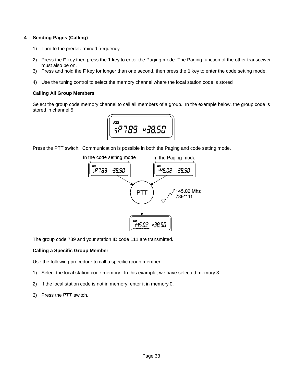#### **4 Sending Pages (Calling)**

- 1) Turn to the predetermined frequency.
- 2) Press the **F** key then press the **1** key to enter the Paging mode. The Paging function of the other transceiver must also be on.
- 3) Press and hold the **F** key for longer than one second, then press the **1** key to enter the code setting mode.
- 4) Use the tuning control to select the memory channel where the local station code is stored

#### **Calling All Group Members**

Select the group code memory channel to call all members of a group. In the example below, the group code is stored in channel 5.



Press the PTT switch. Communication is possible in both the Paging and code setting mode.



The group code 789 and your station ID code 111 are transmitted.

#### **Calling a Specific Group Member**

Use the following procedure to call a specific group member:

- 1) Select the local station code memory. In this example, we have selected memory 3.
- 2) If the local station code is not in memory, enter it in memory 0.
- 3) Press the **PTT** switch.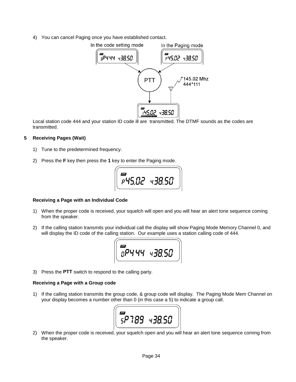4) You can cancel Paging once you have established contact.



Local station code 444 and your station ID code ill are transmitted. The DTMF sounds as the codes are transmitted.

#### **5 Receiving Pages (Wait)**

- 1) Tune to the predetermined frequency.
- 2) Press the **F** key then press the **1** key to enter the Paging mode.



#### **Receiving a Page with an Individual Code**

- 1) When the proper code is received, your squelch will open and you will hear an alert tone sequence coming from the speaker.
- 2) If the calling station transmits your individual call the display will show Paging Mode Memory Channel 0, and will display the ID code of the calling station. Our example uses a station calling code of 444.

| 277<br>າບ ບບ | $\overline{u}$<br>ط۷<br>ü |
|--------------|---------------------------|
|--------------|---------------------------|

3) Press the **PTT** switch to respond to the calling party.

#### **Receiving a Page with a Group code**

1) If the calling station transmits the group code, & group code will display. The Paging Mode Mem Channel on your display becomes a number other than 0 (in this case a 5) to indicate a group call.



2) When the proper code is received, your squelch open and you will hear an alert tone sequence coming from the speaker.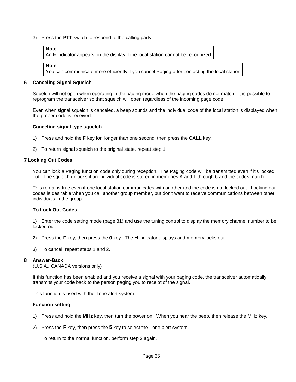3) Press the **PTT** switch to respond to the calling party.

#### **Note**

An **E** indicator appears on the display if the local station cannot be recognized.

```
Note
```
You can communicate more efficiently if you cancel Paging after contacting the local station.

#### **6 Canceling Signal Squelch**

Squelch will not open when operating in the paging mode when the paging codes do not match. It is possible to reprogram the transceiver so that squelch will open regardless of the incoming page code.

Even when signal squelch is canceled, a beep sounds and the individual code of the local station is displayed when the proper code is received.

#### **Canceling signal type squelch**

- 1) Press and hold the **F** key for longer than one second, then press the **CALL** key.
- 2) To return signal squelch to the original state, repeat step 1.

#### **7 Locking Out Codes**

You can lock a Paging function code only during reception. The Paging code will be transmitted even if it's locked out. The squelch unlocks if an individual code is stored in memories A and 1 through 6 and the codes match.

This remains true even if one local station communicates with another and the code is not locked out. Locking out codes is desirable when you call another group member, but don't want to receive communications between other individuals in the group.

#### **To Lock Out Codes**

1) Enter the code setting mode (page 31) and use the tuning control to display the memory channel number to be locked out.

- 2) Press the **F** key, then press the **0** key. The Η indicator displays and memory locks out.
- 3) To cancel, repeat steps 1 and 2.

#### **8 Answer-Back**

(U.S.A., CANADA versions only)

If this function has been enabled and you receive a signal with your paging code, the transceiver automatically transmits your code back to the person paging you to receipt of the signal.

This function is used with the Tone alert system.

#### **Function setting**

- 1) Press and hold the **MHz** key, then turn the power on. When you hear the beep, then release the MHz key.
- 2) Press the **F** key, then press the **5** key to select the Tone alert system.

To return to the normal function, perform step 2 again.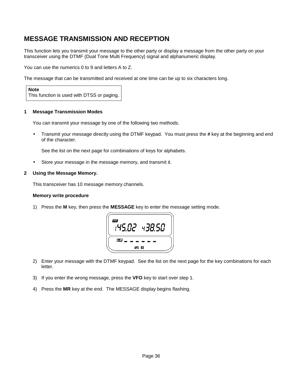#### **MESSAGE TRANSMISSION AND RECEPTION**

This function lets you transmit your message to the other party or display a message from the other party on your transceiver using the DTMF (Dual Tone Multi Frequency) signal and alphanumeric display.

You can use the numerics 0 to 9 and letters A to Z.

The message that can be transmitted and received at one time can be up to six characters long.

**Note** This function is used with DTSS or paging.

#### **1 Message Transmission Modes**

You can transmit your message by one of the following two methods.

• Transmit your message directly using the DTMF keypad. You must press the **#** key at the beginning and end of the character.

See the list on the next page for combinations of keys for alphabets.

• Store your message in the message memory, and transmit it.

#### **2 Using the Message Memory.**

This transceiver has 10 message memory channels.

#### **Memory write procedure**

1) Press the **M** key, then press the **MESSAGE** key to enter the message setting mode.



- 2) Enter your message with the DTMF keypad. See the list on the next page for the key combinations for each letter.
- 3) If you enter the wrong message, press the **VFO** key to start over step 1.
- 4) Press the **MR** key at the end. The MESSAGE display begins flashing.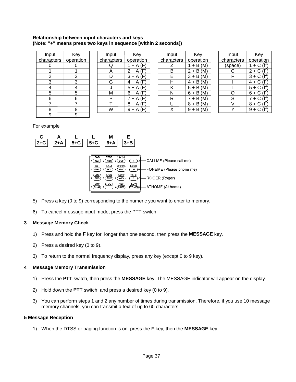#### **Relationship between input characters and keys (Note: "+" means press two keys in sequence [within 2 seconds])**

| Input      | Key       | Input      | Key         | Input      | Key                        | Input      | Key                         |
|------------|-----------|------------|-------------|------------|----------------------------|------------|-----------------------------|
| characters | operation | characters | operation   | characters | operation                  | characters | operation                   |
|            |           | Q          | $+A(F)$     |            | $+ B(M)$                   | (space)    | 1 + C $(f^2)$               |
|            |           | Α          | $2 + A(F)$  | В          | $2 + B(M)$                 |            | $2 + C (f^2)$               |
| ົ          | っ         | D          | $3 + A(F)$  | E          | $3 + B(M)$                 |            | $3 + C (f^2)$               |
| 3          | 3         | G          | $4 + A(F)$  | н          | $4 + B(M)$                 |            | $4 + C (f^2)$               |
| 4          |           |            | $5 + A(F)$  | Κ          | $5 + B(M)$                 |            | $5 + C$<br>$(f^{\epsilon})$ |
| 5          | 5         | M          | $6 + A (F)$ | N          | $6 + B(M)$                 | Ω          | $6 + C$<br>$(f^2)$          |
| 6          | 6         | P          | $7 + A(F)$  | R          | $+ B(M)$<br>$\overline{7}$ | S          | $7 + C$                     |
|            |           |            | $8 + A(F)$  | U          | $8 + B(M)$                 |            | $8 + C$<br>$(f^2)$          |
| 8          | 8         | W          | $9 + A (F)$ | Χ          | $9 + B(M)$                 |            | $9 + C (f^2)$               |
| 9          | 9         |            |             |            |                            |            |                             |

| Input      | Key        |  |
|------------|------------|--|
| characters | operation  |  |
| Q          | $1 + A(F)$ |  |
| А          | $2 + A(F)$ |  |
| D          | $3 + A(F)$ |  |
| G          | $4 + A(F)$ |  |
| J          | $5 + A(F)$ |  |
| М          | $6 + A(F)$ |  |
| P          | $7 + A(F)$ |  |
|            | $8 + A(F)$ |  |
|            | $9 + A(F)$ |  |

| Input      | Key                    |
|------------|------------------------|
| characters | operation              |
| Ζ          | $\overline{1}$ + B (M) |
| в          | $2 + B(M)$             |
| E          | $\overline{3}$ + B (M) |
| н          | $4 + B(M)$             |
| Κ          | $5 + B(M)$             |
| N          | $6 + B(M)$             |
| R          | $7 + B(M)$             |
| U          | $8 + B(M)$             |
| x          | $9 + B(M)$             |
|            |                        |

| Input          | Key                                  |
|----------------|--------------------------------------|
| characters     | operation                            |
| (space)        | 1 + $\overline{C}$ (f <sup>2</sup>   |
| C              | $2 + C$ (f <sup>2</sup>              |
| F              | $3 + \overline{C}$ (f <sup>2</sup> ) |
|                | $4 + \overline{C}$ (f <sup>2</sup>   |
|                | $5 + C$ (f <sup>2</sup>              |
| Э              | $6 + C$ (f <sup>2</sup>              |
| $\overline{S}$ | $7 + C$ (f <sup>2</sup>              |
|                | $8 + C$ (f <sup>2</sup>              |
|                | 9 + $\overline{C}$ (f <sup>2</sup>   |
|                |                                      |

For example



- 5) Press a key (0 to 9) corresponding to the numeric you want to enter to memory.
- 6) To cancel message input mode, press the PTT switch.

#### **3 Message Memory Check**

- 1) Press and hold the **F** key for longer than one second, then press the **MESSAGE** key.
- 2) Press a desired key (0 to 9).
- 3) To return to the normal frequency display, press any key (except 0 to 9 key).

#### **4 Message Memory Transmission**

- 1) Press the **PTT** switch, then press the **MESSAGE** key. The MESSAGE indicator will appear on the display.
- 2) Hold down the **PTT** switch, and press a desired key (0 to 9).
- 3) You can perform steps 1 and 2 any number of times during transmission. Therefore, if you use 10 message memory channels, you can transmit a text of up to 60 characters.

#### **5 Message Reception**

1) When the DTSS or paging function is on, press the **F** key, then the **MESSAGE** key.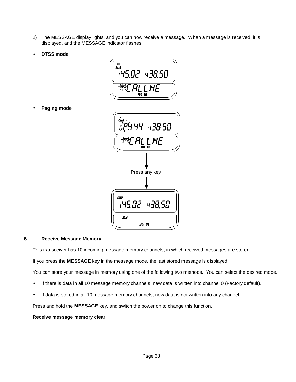- 2) The MESSAGE display lights, and you can now receive a message. When a message is received, it is displayed, and the MESSAGE indicator flashes.
- **DTSS mode**



• **Paging mode**



#### **6 Receive Message Memory**

This transceiver has 10 incoming message memory channels, in which received messages are stored.

If you press the **MESSAGE** key in the message mode, the last stored message is displayed.

You can store your message in memory using one of the following two methods. You can select the desired mode.

- If there is data in all 10 message memory channels, new data is written into channel 0 (Factory default).
- If data is stored in all 10 message memory channels, new data is not written into any channel.

Press and hold the **MESSAGE** key, and switch the power on to change this function.

#### **Receive message memory clear**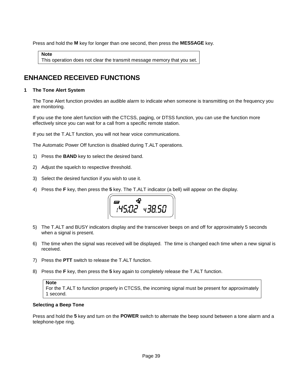Press and hold the **M** key for longer than one second, then press the **MESSAGE** key.

**Note** This operation does not clear the transmit message memory that you set.

#### **ENHANCED RECEIVED FUNCTIONS**

#### **1 The Tone Alert System**

The Tone Alert function provides an audible alarm to indicate when someone is transmitting on the frequency you are monitoring.

If you use the tone alert function with the CTCSS, paging, or DTSS function, you can use the function more effectively since you can wait for a call from a specific remote station.

If you set the T.ALT function, you will not hear voice communications.

The Automatic Power Off function is disabled during T.ALT operations.

- 1) Press the **BAND** key to select the desired band.
- 2) Adjust the squelch to respective threshold.
- 3) Select the desired function if you wish to use it.
- 4) Press the **F** key, then press the **5** key. The T.ALT indicator (a bell) will appear on the display.



- 5) The T.ALT and BUSY indicators display and the transceiver beeps on and off for approximately 5 seconds when a signal is present.
- 6) The time when the signal was received will be displayed. The time is changed each time when a new signal is received.
- 7) Press the **PTT** switch to release the T.ALT function.
- 8) Press the **F** key, then press the **5** key again to completely release the T.ALT function.

#### **Selecting a Beep Tone**

Press and hold the **5** key and turn on the **POWER** switch to alternate the beep sound between a tone alarm and a telephone-type ring.

**Note** For the T.ALT to function properly in CTCSS, the incoming signal must be present for approximately 1 second.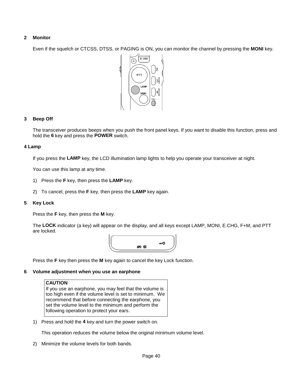#### **2 Monitor**

Even if the squelch or CTCSS, DTSS, or PAGING is ON, you can monitor the channel by pressing the **MONI** key.



#### **3 Beep Off**

The transceiver produces beeps when you push the front panel keys. If you want to disable this function, press and hold the **6** key and press the **POWER** switch.

#### **4 Lamp**

If you press the **LAMP** key, the LCD illumination lamp lights to help you operate your transceiver at night.

You can use this lamp at any time.

- 1) Press the **F** key, then press the **LAMP** key.
- 2) To cancel, press the **F** key, then press the **LAMP** key again.

#### **5 Key Lock**

Press the **F** key, then press the **M** key.

The **LOCK** indicator (a key) will appear on the display, and all keys except LAMP, MONI, E.CHG, F+M, and PTT are locked.



Press the **F** key then press the **M** key again to cancel the key Lock function.

#### **6 Volume adjustment when you use an earphone**

#### **CAUTION**

If you use an earphone, you may feel that the volume is too high even if the volume level is set to minimum. We recommend that before connecting the earphone, you set the volume level to the minimum and perform the following operation to protect your ears.

1) Press and hold the **4** key and turn the power switch on.

This operation reduces the volume below the original minimum volume level.

2) Minimize the volume levels for both bands.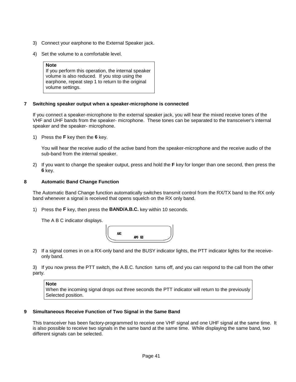- 3) Connect your earphone to the External Speaker jack.
- 4) Set the volume to a comfortable level.

#### **Note**

 If you perform this operation, the internal speaker volume is also reduced. If you stop using the earphone, repeat step 1 to return to the original volume settings.

#### **7 Switching speaker output when a speaker-microphone is connected**

If you connect a speaker-microphone to the external speaker jack, you will hear the mixed receive tones of the VHF and UHF bands from the speaker- microphone. These tones can be separated to the transceiver's internal speaker and the speaker- microphone.

1) Press the **F** key then the **6** key.

You will hear the receive audio of the active band from the speaker-microphone and the receive audio of the sub-band from the internal speaker.

2) If you want to change the speaker output, press and hold the **F** key for longer than one second, then press the **6** key.

#### **8 Automatic Band Change Function**

The Automatic Band Change function automatically switches transmit control from the RX/TX band to the RX only band whenever a signal is received that opens squelch on the RX only band.

1) Press the **F** key, then press the **BAND/A.B.C.** key within 10 seconds.

The A B C indicator displays.



2) If a signal comes in on a RX-only band and the BUSY indicator lights, the PTT indicator lights for the receiveonly band.

3) If you now press the PTT switch, the A.B.C. function turns off, and you can respond to the call from the other party.

**Note** When the incoming signal drops out three seconds the PTT indicator will return to the previously Selected position.

#### **9 Simultaneous Receive Function of Two Signal in the Same Band**

This transceiver has been factory-programmed to receive one VHF signal and one UHF signal at the same time. It is also possible to receive two signals in the same band at the same time. While displaying the same band, two different signals can be selected.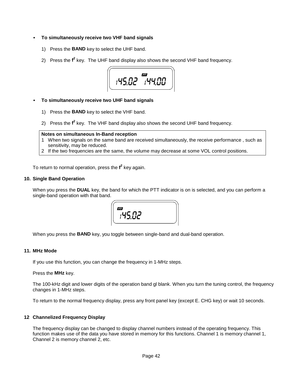#### • **To simultaneously receive two VHF band signals**

- 1) Press the **BAND** key to select the UHF band.
- 2) Press the f<sup>2</sup> key. The UHF band display also shows the second VHF band frequency.



#### • **To simultaneously receive two UHF band signals**

- 1) Press the **BAND** key to select the VHF band.
- 2) Press the f<sup>2</sup> key. The VHF band display also shows the second UHF band frequency.

#### **Notes on simultaneous In-Band reception**

- 1 When two signals on the same band are received simultaneously, the receive performance , such as sensitivity, may be reduced.
- 2 If the two frequencies are the same, the volume may decrease at some VOL control positions.

To return to normal operation, press the **f 2** key again.

#### **10. Single Band Operation**

When you press the **DUAL** key, the band for which the PTT indicator is on is selected, and you can perform a single-band operation with that band.



When you press the **BAND** key, you toggle between single-band and dual-band operation.

#### **11. MHz Mode**

If you use this function, you can change the frequency in 1-MHz steps.

Press the **MHz** key.

The 100-kHz digit and lower digits of the operation band gl blank. When you turn the tuning control, the frequency changes in 1-MHz steps.

To return to the normal frequency display, press any front panel key (except E. CHG key) or wait 10 seconds.

#### **12 Channelized Frequency Display**

The frequency display can be changed to display channel numbers instead of the operating frequency. This function makes use of the data you have stored in memory for this functions. Channel 1 is memory channel 1, Channel 2 is memory channel 2, etc.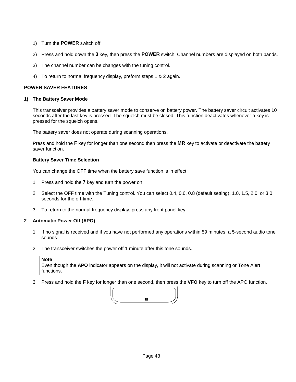- 1) Turn the **POWER** switch off
- 2) Press and hold down the **3** key, then press the **POWER** switch. Channel numbers are displayed on both bands.
- 3) The channel number can be changes with the tuning control.
- 4) To return to normal frequency display, preform steps 1 & 2 again.

#### **POWER SAVER FEATURES**

#### **1) The Battery Saver Mode**

This transceiver provides a battery saver mode to conserve on battery power. The battery saver circuit activates 10 seconds after the last key is pressed. The squelch must be closed. This function deactivates whenever a key is pressed for the squelch opens.

The battery saver does not operate during scanning operations.

Press and hold the **F** key for longer than one second then press the **MR** key to activate or deactivate the battery saver function.

#### **Battery Saver Time Selection**

You can change the OFF time when the battery save function is in effect.

- 1 Press and hold the **7** key and turn the power on.
- 2 Select the OFF time with the Tuning control. You can select 0.4, 0.6, 0.8 (default setting), 1.0, 1.5, 2.0, or 3.0 seconds for the off-time.
- 3 To return to the normal frequency display, press any front panel key.

#### **2 Automatic Power Off (APO)**

- 1 If no signal is received and if you have not performed any operations within 59 minutes, a 5-second audio tone sounds.
- 2 The transceiver switches the power off 1 minute after this tone sounds.

#### **Note**

Even though the **APO** indicator appears on the display, it will not activate during scanning or Tone Alert functions.

3 Press and hold the **F** key for longer than one second, then press the **VFO** key to turn off the APO function.

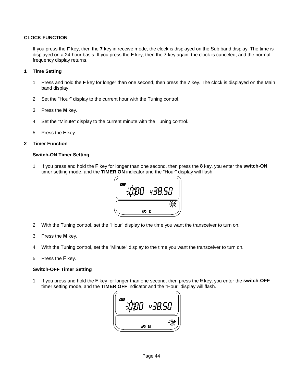#### **CLOCK FUNCTION**

If you press the **F** key, then the **7** key in receive mode, the clock is displayed on the Sub band display. The time is displayed on a 24-hour basis. If you press the **F** key, then the **7** key again, the clock is canceled, and the normal frequency display returns.

#### **1 Time Setting**

- 1 Press and hold the **F** key for longer than one second, then press the **7** key. The clock is displayed on the Main band display.
- 2 Set the "Hour" display to the current hour with the Tuning control.
- 3 Press the **M** key.
- 4 Set the "Minute" display to the current minute with the Tuning control.
- 5 Press the **F** key.

#### **2 Timer Function**

#### **Switch-ON Timer Setting**

1 If you press and hold the **F** key for longer than one second, then press the **8** key, you enter the **switch-ON** timer setting mode, and the **TIMER ON** indicator and the "Hour" display will flash.



- 2 With the Tuning control, set the "Hour" display to the time you want the transceiver to turn on.
- 3 Press the **M** key.
- 4 With the Tuning control, set the "Minute" display to the time you want the transceiver to turn on.
- 5 Press the **F** key.

#### **Switch-OFF Timer Setting**

1 If you press and hold the **F** key for longer than one second, then press the **9** key, you enter the **switch-OFF** timer setting mode, and the **TIMER OFF** indicator and the "Hour" display will flash.

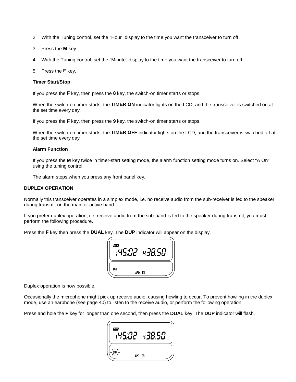- 2 With the Tuning control, set the "Hour" display to the time you want the transceiver to turn off.
- 3 Press the **M** key.
- 4 With the Tuning control, set the "Minute" display to the time you want the transceiver to turn off.
- 5 Press the **F** key.

#### **Timer Start/Stop**

If you press the **F** key, then press the **8** key, the switch-on timer starts or stops.

When the switch-on timer starts, the **TIMER ON** indicator lights on the LCD, and the transceiver is switched on at the set time every day.

If you press the **F** key, then press the **9** key, the switch-on timer starts or stops.

When the switch-on timer starts, the **TIMER OFF** indicator lights on the LCD, and the transceiver is switched off at the set time every day.

#### **Alarm Function**

If you press the **M** key twice in timer-start setting mode, the alarm function setting mode turns on. Select "A On" using the tuning control.

The alarm stops when you press any front panel key.

#### **DUPLEX OPERATION**

Normally this transceiver operates in a simplex mode, i.e. no receive audio from the sub-receiver is fed to the speaker during transmit on the main or active band.

If you prefer duplex operation, i.e. receive audio from the sub-band is fed to the speaker during transmit, you must perform the following procedure.

Press the **F** key then press the **DUAL** key. The **DUP** indicator will appear on the display.



Duplex operation is now possible.

Occasionally the microphone might pick up receive audio, causing howling to occur. To prevent howling in the duplex mode, use an earphone (see page 40) to listen to the receive audio, or perform the following operation.

Press and hole the **F** key for longer than one second, then press the **DUAL** key. The **DUP** indicator will flash.

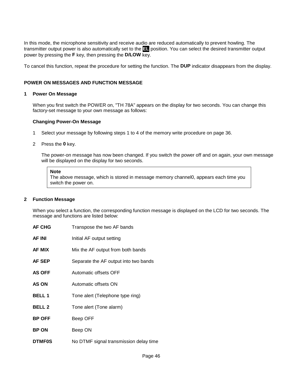In this mode, the microphone sensitivity and receive audio are reduced automatically to prevent howling. The transmitter output power is also automatically set to the **EL** position. You can select the desired transmitter output power by pressing the **F** key, then pressing the **D/LOW** key.

To cancel this function, repeat the procedure for setting the function. The **DUP** indicator disappears from the display.

#### **POWER ON MESSAGES AND FUNCTION MESSAGE**

#### **1 Power On Message**

When you first switch the POWER on, "TH 78A" appears on the display for two seconds. You can change this factory-set message to your own message as follows:

#### **Changing Power-On Message**

1 Select your message by following steps 1 to 4 of the memory write procedure on page 36.

#### 2 Press the **0** key.

The power-on message has now been changed. If you switch the power off and on again, your own message will be displayed on the display for two seconds.

#### **Note**

The above message, which is stored in message memory channel0, appears each time you switch the power on.

#### **2 Function Message**

When you select a function, the corresponding function message is displayed on the LCD for two seconds. The message and functions are listed below:

| <b>AF CHG</b> | Transpose the two AF bands             |
|---------------|----------------------------------------|
| AF INI        | Initial AF output setting              |
| <b>AF MIX</b> | Mix the AF output from both bands      |
| <b>AF SEP</b> | Separate the AF output into two bands  |
| <b>AS OFF</b> | Automatic offsets OFF                  |
| AS ON         | Automatic offsets ON                   |
| <b>BELL1</b>  | Tone alert (Telephone type ring)       |
| <b>BELL 2</b> | Tone alert (Tone alarm)                |
| <b>BP OFF</b> | Beep OFF                               |
| <b>BP ON</b>  | Beep ON                                |
| <b>DTMF0S</b> | No DTMF signal transmission delay time |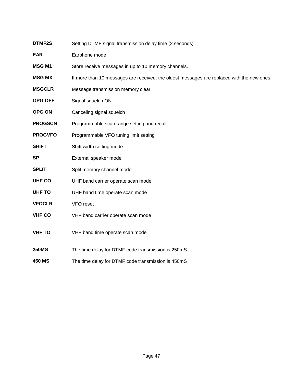| <b>EAR</b>     | Earphone mode                                                                              |  |  |  |  |
|----------------|--------------------------------------------------------------------------------------------|--|--|--|--|
| <b>MSG M1</b>  | Store receive messages in up to 10 memory channels.                                        |  |  |  |  |
| <b>MSG MX</b>  | If more than 10 messages are received, the oldest messages are replaced with the new ones. |  |  |  |  |
| <b>MSGCLR</b>  | Message transmission memory clear                                                          |  |  |  |  |
| OPG OFF        | Signal squelch ON                                                                          |  |  |  |  |
| <b>OPG ON</b>  | Canceling signal squelch                                                                   |  |  |  |  |
| <b>PROGSCN</b> | Programmable scan range setting and recall                                                 |  |  |  |  |
| <b>PROGVFO</b> | Programmable VFO tuning limit setting                                                      |  |  |  |  |
| <b>SHIFT</b>   | Shift width setting mode                                                                   |  |  |  |  |
| <b>SP</b>      | External speaker mode                                                                      |  |  |  |  |
| <b>SPLIT</b>   | Split memory channel mode                                                                  |  |  |  |  |
| <b>UHF CO</b>  | UHF band carrier operate scan mode                                                         |  |  |  |  |
| <b>UHF TO</b>  | UHF band time operate scan mode                                                            |  |  |  |  |
| <b>VFOCLR</b>  | VFO reset                                                                                  |  |  |  |  |
| <b>VHF CO</b>  | VHF band carrier operate scan mode                                                         |  |  |  |  |
| <b>VHF TO</b>  | VHF band time operate scan mode                                                            |  |  |  |  |
| <b>250MS</b>   | The time delay for DTMF code transmission is 250mS                                         |  |  |  |  |
| <b>450 MS</b>  | The time delay for DTMF code transmission is 450mS                                         |  |  |  |  |

**DTMF2S** Setting DTMF signal transmission delay time (2 seconds)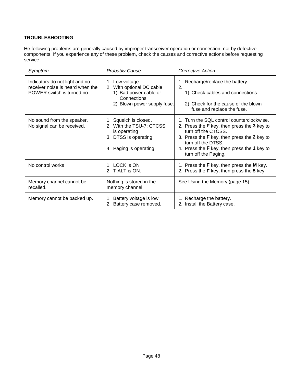#### **TROUBLESHOOTING**

He following problems are generally caused by improper transceiver operation or connection, not by defective components. If you experience any of these problem, check the causes and corrective actions before requesting service.

| Symptom                                                                                          | <b>Probably Cause</b>                                                                                               | Corrective Action                                                                                                                                                                                                                                           |
|--------------------------------------------------------------------------------------------------|---------------------------------------------------------------------------------------------------------------------|-------------------------------------------------------------------------------------------------------------------------------------------------------------------------------------------------------------------------------------------------------------|
| Indicators do not light and no<br>receiver noise is heard when the<br>POWER switch is turned no. | 1. Low voltage.<br>2. With optional DC cable<br>1) Bad power cable or<br>Connections<br>2) Blown power supply fuse. | 1. Recharge/replace the battery.<br>2.<br>1) Check cables and connections.<br>2) Check for the cause of the blown<br>fuse and replace the fuse.                                                                                                             |
| No sound from the speaker.<br>No signal can be received.                                         | 1. Squelch is closed.<br>2. With the TSU-7: CTCSS<br>is operating<br>3. DTSS is operating<br>4. Paging is operating | 1. Turn the SQL control counterclockwise.<br>2. Press the F key, then press the 3 key to<br>turn off the CTCSS.<br>3. Press the F key, then press the 2 key to<br>turn off the DTSS.<br>4. Press the F key, then press the 1 key to<br>turn off the Paging. |
| No control works                                                                                 | 1. LOCK is ON<br>2. T.ALT is ON.                                                                                    | 1. Press the F key, then press the M key.<br>2. Press the F key, then press the 5 key.                                                                                                                                                                      |
| Memory channel cannot be<br>recalled.                                                            | Nothing is stored in the<br>memory channel.                                                                         | See Using the Memory (page 15).                                                                                                                                                                                                                             |
| Memory cannot be backed up.                                                                      | Battery voltage is low.<br>2. Battery case removed.                                                                 | 1. Recharge the battery.<br>2. Install the Battery case.                                                                                                                                                                                                    |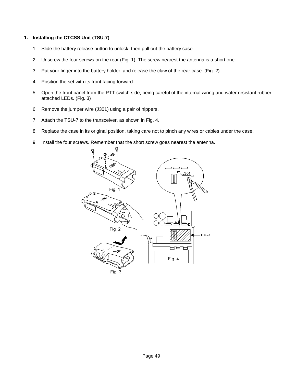#### **1. Installing the CTCSS Unit (TSU-7)**

- 1 Slide the battery release button to unlock, then pull out the battery case.
- 2 Unscrew the four screws on the rear (Fig. 1). The screw nearest the antenna is a short one.
- 3 Put your finger into the battery holder, and release the claw of the rear case. (Fig. 2)
- 4 Position the set with its front facing forward.
- 5 Open the front panel from the PTT switch side, being careful of the internal wiring and water resistant rubberattached LEDs. (Fig. 3)
- 6 Remove the jumper wire (J301) using a pair of nippers.
- 7 Attach the TSU-7 to the transceiver, as shown in Fig. 4.
- 8. Replace the case in its original position, taking care not to pinch any wires or cables under the case.
- 9. Install the four screws. Remember that the short screw goes nearest the antenna.

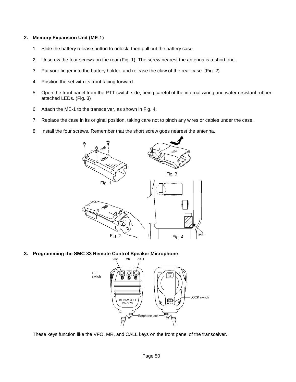#### **2. Memory Expansion Unit (ME-1)**

- 1 Slide the battery release button to unlock, then pull out the battery case.
- 2 Unscrew the four screws on the rear (Fig. 1). The screw nearest the antenna is a short one.
- 3 Put your finger into the battery holder, and release the claw of the rear case. (Fig. 2)
- 4 Position the set with its front facing forward.
- 5 Open the front panel from the PTT switch side, being careful of the internal wiring and water resistant rubberattached LEDs. (Fig. 3)
- 6 Attach the ME-1 to the transceiver, as shown in Fig. 4.
- 7. Replace the case in its original position, taking care not to pinch any wires or cables under the case.
- 8. Install the four screws. Remember that the short screw goes nearest the antenna.



**3. Programming the SMC-33 Remote Control Speaker Microphone**



These keys function like the VFO, MR, and CALL keys on the front panel of the transceiver.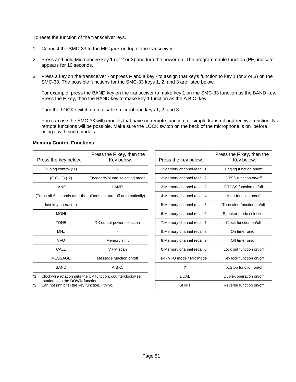To reset the function of the transceiver leys.

- 1 Connect the SMC-33 to the MIC jack on top of the transceiver.
- 2 Press and hold Microphone key **1** (or 2 or 3) and turn the power on. The programmable function (**PF**) indicator appears for 10 seconds.
- 3 Press a key on the transceiver or press **F** and a key to assign that key's function to key 1 (or 2 or 3) on the SMC-33. The possible functions for the SMC-33 keys 1, 2, and 3 are listed below.

For example, press the BAND key on the transceiver to make key 1 on the SMC-33 function as the BAND key. Press the **F** key, then the BAND key to make key 1 function as the A.B.C. key.

Turn the LOCK switch on to disable microphone keys 1, 2, and 3.

You can use the SMC-33 with models that have no remote function for simple transmit and receive function. No remote functions will be possible. Make sure the LOCK switch on the back of the microphone is on before using it with such models.

#### **Memory Control Functions**

| Press the key below.           | Press the F key, then the<br>Key below. | Press the key below.       | Press the F key, then the<br>Key below. |
|--------------------------------|-----------------------------------------|----------------------------|-----------------------------------------|
| Tuning control (*1)            |                                         | 1: Memory channel recall 1 | Paging function on/off                  |
| (E.CHG) (*2)                   | Encoder/Volume selecting mode           | 2: Memory channel recall 2 | DTSS function on/off                    |
| LAMP                           | LAMP                                    | 3: Memory channel recall 3 | CTCSS function on/off                   |
| (Turns off 5 seconds after the | (Does not turn off automatically)       | 4: Memory channel recall 4 | Alert function on/off                   |
| last key operation)            |                                         | 5: Memory channel recall 5 | Tone alert function on/off              |
| <b>MONI</b>                    |                                         | 6: Memory channel recall 6 | Speaker mode selection                  |
| <b>TONE</b>                    | TX output power selection               | 7: Memory channel recall 7 | Clock function on/off                   |
| MHz                            |                                         | 8: Memory channel recall 8 | On timer on/off                         |
| <b>VFO</b>                     | Memory shift                            | 9: Memory channel recall 9 | Off timer on/off                        |
| CALL                           | $V/M$ scan                              | 0: Memory channel recall 0 | Lock out function on/off                |
| <b>MESSAGE</b>                 | Message function on/off                 | (M) VFO mode / MR mode     | Key lock function on/off                |
| <b>BAND</b>                    | A.B.C.                                  | $f^2$                      | TX.Stop function on/off                 |
|                                |                                         |                            |                                         |

\*1 Clockwise rotation sets the UP function, counterclockwise rotation sets the DOWN function.

 $*2$  Can not (inhibits) the key function, I think.

| Press the <b>F</b> key, then the<br>Key below. | Press the key below.       | Press the F key, then the<br>Key below. |
|------------------------------------------------|----------------------------|-----------------------------------------|
|                                                | 1: Memory channel recall 1 | Paging function on/off                  |
| ncoder/Volume selecting mode                   | 2: Memory channel recall 2 | DTSS function on/off                    |
| LAMP                                           | 3: Memory channel recall 3 | CTCSS function on/off                   |
| Does not turn off automatically)               | 4: Memory channel recall 4 | Alert function on/off                   |
|                                                | 5: Memory channel recall 5 | Tone alert function on/off              |
|                                                | 6: Memory channel recall 6 | Speaker mode selection                  |
| TX output power selection                      | 7: Memory channel recall 7 | Clock function on/off                   |
|                                                | 8: Memory channel recall 8 | On timer on/off                         |
| Memory shift                                   | 9: Memory channel recall 9 | Off timer on/off                        |
| V / M scan                                     | 0: Memory channel recall 0 | Lock out function on/off                |
| Message function on/off                        | (M) VFO mode / MR mode     | Key lock function on/off                |
| A.B.C.                                         | f <sup>2</sup>             | TX.Stop function on/off                 |
| P function, counterclockwise                   | <b>DUAL</b>                | Duplex operation on/off                 |
| tion.<br>ction, I think.                       | <b>SHIFT</b>               | Reverse function on/off                 |